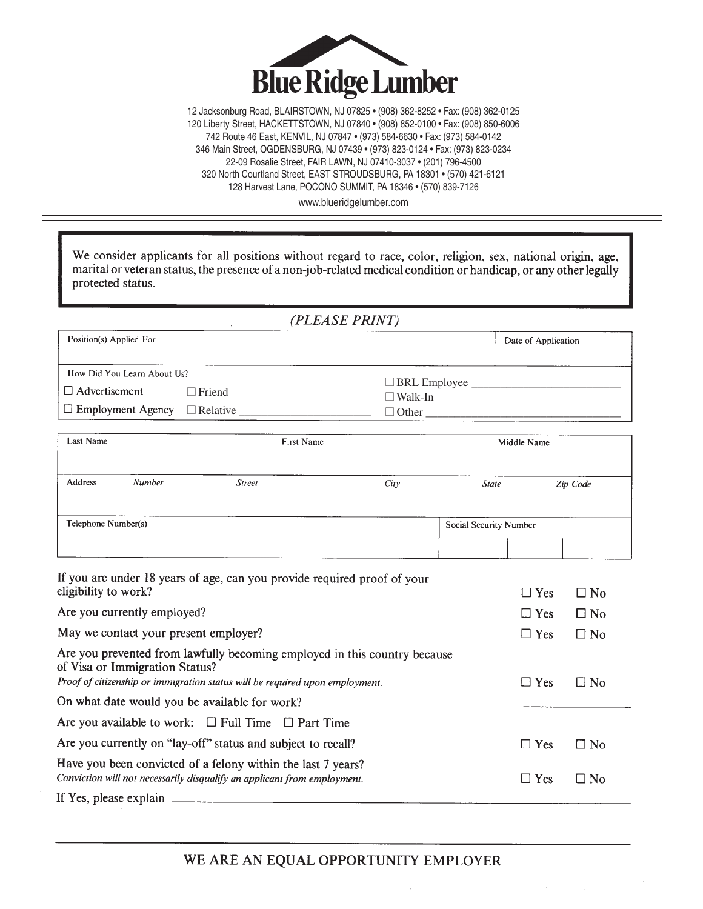

12 Jacksonburg Road, BLAIRSTOWN, NJ 07825 • (908) 362-8252 • Fax: (908) 362-0125 120 Liberty Street, HACKETTSTOWN, NJ 07840 • (908) 852-0100 • Fax: (908) 850-6006 742 Route 46 East, KENVIL, NJ 07847 • (973) 584-6630 • Fax: (973) 584-0142 346 Main Street, OGDENSBURG, NJ 07439 • (973) 823-0124 • Fax: (973) 823-0234 22-09 Rosalie Street, FAIR LAWN, NJ 07410-3037 • (201) 796-4500 320 North Courtland Street, EAST STROUDSBURG, PA 18301 • (570) 421-6121 128 Harvest Lane, POCONO SUMMIT, PA 18346 • (570) 839-7126

www.blueridgelumber.com

| We consider applicants for all positions without regard to race, color, religion, sex, national origin, age,<br>marital or veteran status, the presence of a non-job-related medical condition or handicap, or any other legally<br>protected status. |                     |                                                  |                     |              |
|-------------------------------------------------------------------------------------------------------------------------------------------------------------------------------------------------------------------------------------------------------|---------------------|--------------------------------------------------|---------------------|--------------|
|                                                                                                                                                                                                                                                       | (PLEASE PRINT)      |                                                  |                     |              |
| Position(s) Applied For                                                                                                                                                                                                                               |                     |                                                  | Date of Application |              |
| How Did You Learn About Us?                                                                                                                                                                                                                           |                     |                                                  |                     |              |
| $\Box$ Advertisement<br>$\Box$ Friend                                                                                                                                                                                                                 | $\Box$ Walk-In      | □ BRL Employee <u>__________________________</u> |                     |              |
| $\Box$ Employment Agency                                                                                                                                                                                                                              | $\Box$ Other $\Box$ |                                                  |                     |              |
| <b>Last Name</b><br><b>First Name</b>                                                                                                                                                                                                                 |                     |                                                  | Middle Name         |              |
|                                                                                                                                                                                                                                                       |                     |                                                  |                     |              |
| Number<br>Address<br><b>Street</b>                                                                                                                                                                                                                    | City                | <b>State</b>                                     |                     | Zip Code     |
| Telephone Number(s)                                                                                                                                                                                                                                   |                     | Social Security Number                           |                     |              |
| If you are under 18 years of age, can you provide required proof of your<br>eligibility to work?                                                                                                                                                      |                     |                                                  | $\Box$ Yes          | $\Box$ No    |
| Are you currently employed?                                                                                                                                                                                                                           |                     |                                                  | $\Box$ Yes          | $\Box$ No    |
| May we contact your present employer?                                                                                                                                                                                                                 |                     |                                                  | $\Box$ Yes          | $\Box$ No    |
| Are you prevented from lawfully becoming employed in this country because<br>of Visa or Immigration Status?<br>Proof of citizenship or immigration status will be required upon employment.                                                           |                     |                                                  | $\Box$ Yes          | $\Box$ No    |
| On what date would you be available for work?                                                                                                                                                                                                         |                     |                                                  |                     |              |
| Are you available to work: $\Box$ Full Time $\Box$ Part Time                                                                                                                                                                                          |                     |                                                  |                     |              |
| Are you currently on "lay-off" status and subject to recall?                                                                                                                                                                                          |                     |                                                  | $\Box$ Yes          | □ No         |
| Have you been convicted of a felony within the last 7 years?<br>Conviction will not necessarily disqualify an applicant from employment.                                                                                                              |                     |                                                  | $\Box$ Yes          | $\square$ No |

If Yes, please explain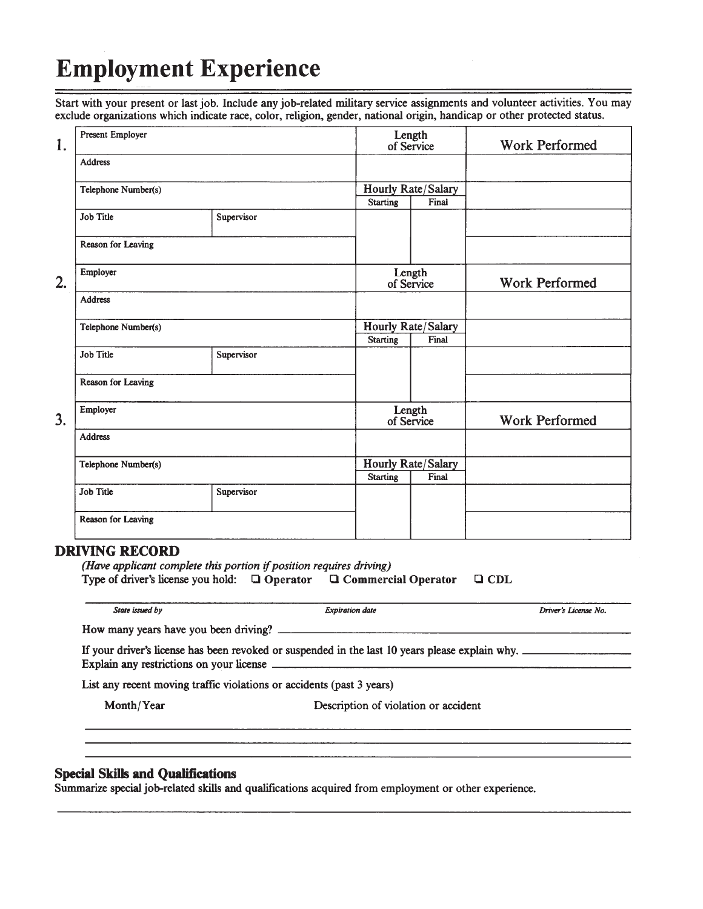# **Employment Experience**

Start with your present or last job. Include any job-related military service assignments and volunteer activities. You may exclude organizations which indicate race, color, religion, gender, national origin, handicap or other protected status.

| 1.             | Present Employer          |            |                 | Length<br>of Service        | <b>Work Performed</b> |
|----------------|---------------------------|------------|-----------------|-----------------------------|-----------------------|
|                | <b>Address</b>            |            |                 |                             |                       |
|                | Telephone Number(s)       |            | <b>Starting</b> | Hourly Rate/Salary<br>Final |                       |
|                | <b>Job Title</b>          | Supervisor |                 |                             |                       |
|                | Reason for Leaving        |            |                 |                             |                       |
| 2.             | Employer                  |            |                 | Length<br>of Service        | <b>Work Performed</b> |
|                | <b>Address</b>            |            |                 |                             |                       |
|                | Telephone Number(s)       |            | <b>Starting</b> | Hourly Rate/Salary<br>Final |                       |
|                | <b>Job Title</b>          | Supervisor |                 |                             |                       |
|                | <b>Reason for Leaving</b> |            |                 |                             |                       |
| 3 <sub>1</sub> | Employer                  |            |                 | Length<br>of Service        | <b>Work Performed</b> |
|                | <b>Address</b>            |            |                 |                             |                       |
|                | Telephone Number(s)       |            | <b>Starting</b> | Hourly Rate/Salary<br>Final |                       |
|                | <b>Job Title</b>          | Supervisor |                 |                             |                       |
|                | Reason for Leaving        |            |                 |                             |                       |

### **DRIVING RECORD**

| (Have applicant complete this portion if position requires driving)                         |  |  |  |  |  |  |
|---------------------------------------------------------------------------------------------|--|--|--|--|--|--|
| Type of driver's license you hold: $\Box$ Operator<br>$\Box$ Commercial Operator $\Box$ CDL |  |  |  |  |  |  |
|                                                                                             |  |  |  |  |  |  |

|                                                                       | If your driver's license has been revoked or suspended in the last 10 years please explain why.<br>Explain any restrictions on your license |  |
|-----------------------------------------------------------------------|---------------------------------------------------------------------------------------------------------------------------------------------|--|
| List any recent moving traffic violations or accidents (past 3 years) |                                                                                                                                             |  |
| Month/Year                                                            | Description of violation or accident                                                                                                        |  |

### **Special Skills and Qualifications**

Summarize special job-related skills and qualifications acquired from employment or other experience.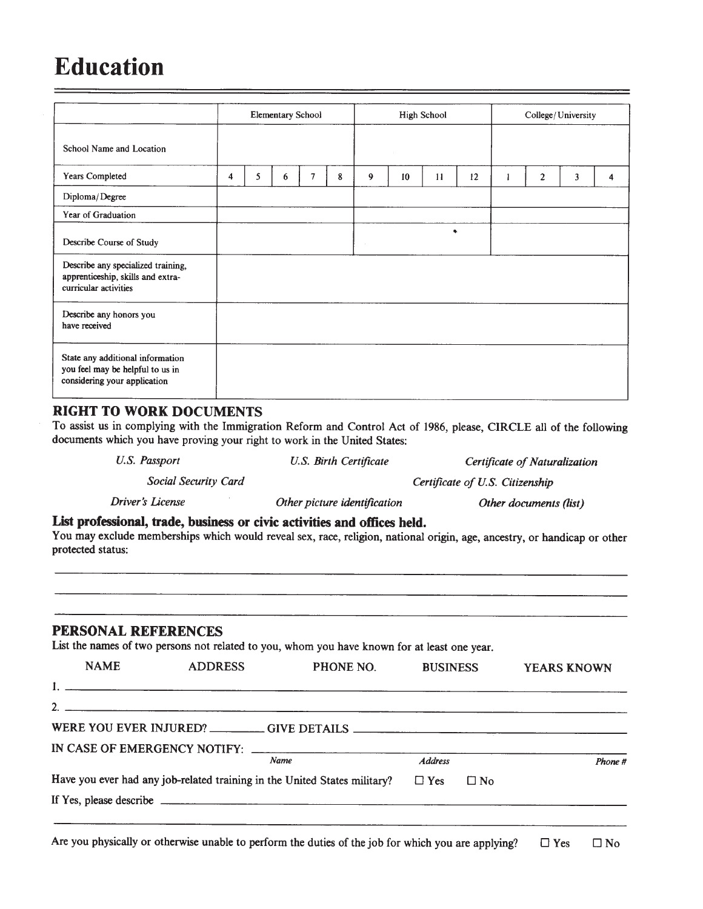## **Education**

|                                                                                                      |   | <b>Elementary School</b><br><b>High School</b><br>College/University |   |   |   |        |    |    |    |                |   |   |
|------------------------------------------------------------------------------------------------------|---|----------------------------------------------------------------------|---|---|---|--------|----|----|----|----------------|---|---|
| School Name and Location                                                                             |   |                                                                      |   |   |   |        |    |    |    |                |   |   |
| <b>Years Completed</b>                                                                               | 4 | 5                                                                    | 6 | 7 | 8 | 9      | 10 | 11 | 12 | $\overline{c}$ | 3 | 4 |
| Diploma/Degree                                                                                       |   |                                                                      |   |   |   |        |    |    |    |                |   |   |
| Year of Graduation                                                                                   |   |                                                                      |   |   |   |        |    |    |    |                |   |   |
| Describe Course of Study                                                                             |   |                                                                      |   |   |   | $\sim$ |    | ٠  |    |                |   |   |
| Describe any specialized training,<br>apprenticeship, skills and extra-<br>curricular activities     |   |                                                                      |   |   |   |        |    |    |    |                |   |   |
| Describe any honors you<br>have received                                                             |   |                                                                      |   |   |   |        |    |    |    |                |   |   |
| State any additional information<br>you feel may be helpful to us in<br>considering your application |   |                                                                      |   |   |   |        |    |    |    |                |   |   |

#### **RIGHT TO WORK DOCUMENTS**

To assist us in complying with the Immigration Reform and Control Act of 1986, please, CIRCLE all of the following documents which you have proving your right to work in the United States:

| U.S. Passport           | U.S. Birth Certificate                                                   | Certificate of Naturalization                                                                                            |
|-------------------------|--------------------------------------------------------------------------|--------------------------------------------------------------------------------------------------------------------------|
| Social Security Card    |                                                                          | Certificate of U.S. Citizenship                                                                                          |
| <b>Driver's License</b> | Other picture identification                                             | Other documents (list)                                                                                                   |
| protected status:       | List professional, trade, business or civic activities and offices held. | You may exclude memberships which would reveal sex, race, religion, national origin, age, ancestry, or handicap or other |
|                         |                                                                          |                                                                                                                          |

#### PERSONAL REFERENCES

List the names of two persons not related to you, whom you have known for at least one year.

| <b>NAME</b> | <b>ADDRESS</b>                                                                    | PHONE NO.   | <b>BUSINESS</b> |           | <b>YEARS KNOWN</b> |
|-------------|-----------------------------------------------------------------------------------|-------------|-----------------|-----------|--------------------|
|             |                                                                                   |             |                 |           |                    |
|             |                                                                                   |             |                 |           |                    |
|             | WERE YOU EVER INJURED? __________GIVE DETAILS ___________________________________ |             |                 |           |                    |
|             |                                                                                   |             |                 |           |                    |
|             |                                                                                   | <b>Name</b> | <b>Address</b>  |           | Phone #            |
|             | Have you ever had any job-related training in the United States military?         |             | $\Box$ Yes      | $\Box$ No |                    |
|             |                                                                                   |             |                 |           |                    |
|             |                                                                                   |             |                 |           |                    |

Are you physically or otherwise unable to perform the duties of the job for which you are applying?  $\Box$  Yes  $\square$  No